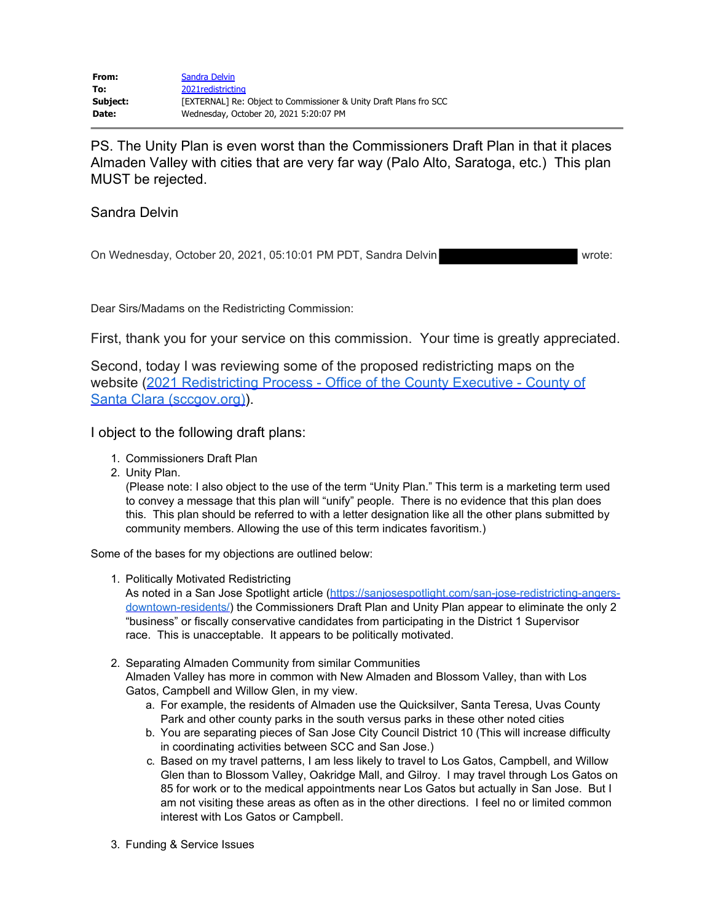PS. The Unity Plan is even worst than the Commissioners Draft Plan in that it places Almaden Valley with cities that are very far way (Palo Alto, Saratoga, etc.) This plan MUST be rejected.

## Sandra Delvin

On Wednesday, October 20, 2021, 05:10:01 PM PDT, Sandra Delvin Watcher Warde:

Dear Sirs/Madams on the Redistricting Commission:

First, thank you for your service on this commission. Your time is greatly appreciated.

Second, today I was reviewing some of the proposed redistricting maps on the website (2021 Redistricting Process - Office of the County Executive - County of Santa Clara (sccgov.org)).

I object to the following draft plans:

- 1. Commissioners Draft Plan
- 2. Unity Plan.

(Please note: I also object to the use of the term "Unity Plan." This term is a marketing term used to convey a message that this plan will "unify" people. There is no evidence that this plan does this. This plan should be referred to with a letter designation like all the other plans submitted by community members. Allowing the use of this term indicates favoritism.)

Some of the bases for my objections are outlined below:

1. Politically Motivated Redistricting

As noted in a San Jose Spotlight article (https://sanjosespotlight.com/san-jose-redistricting-angersdowntown-residents/) the Commissioners Draft Plan and Unity Plan appear to eliminate the only 2 "business" or fiscally conservative candidates from participating in the District 1 Supervisor race. This is unacceptable. It appears to be politically motivated.

- 2. Separating Almaden Community from similar Communities Almaden Valley has more in common with New Almaden and Blossom Valley, than with Los Gatos, Campbell and Willow Glen, in my view.
	- a. For example, the residents of Almaden use the Quicksilver, Santa Teresa, Uvas County Park and other county parks in the south versus parks in these other noted cities
	- b. You are separating pieces of San Jose City Council District 10 (This will increase difficulty in coordinating activities between SCC and San Jose.)
	- c. Based on my travel patterns, I am less likely to travel to Los Gatos, Campbell, and Willow Glen than to Blossom Valley, Oakridge Mall, and Gilroy. I may travel through Los Gatos on 85 for work or to the medical appointments near Los Gatos but actually in San Jose. But I am not visiting these areas as often as in the other directions. I feel no or limited common interest with Los Gatos or Campbell.
- 3. Funding & Service Issues